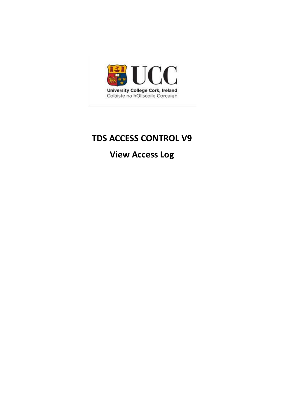

# **TDS ACCESS CONTROL V9**

**View Access Log**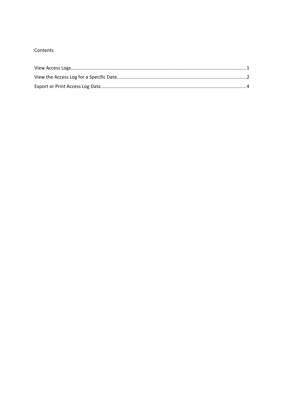## Contents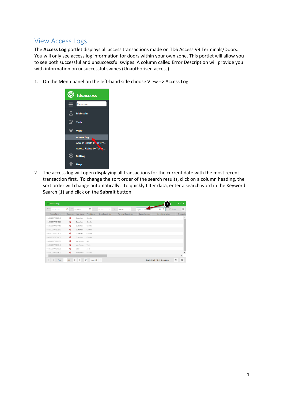## <span id="page-2-0"></span>View Access Logs

The **Access Log** portlet displays all access transactions made on TDS Access V9 Terminals/Doors. You will only see access log information for doors within your own zone. This portlet will allow you to see both successful and unsuccessful swipes. A column called Error Description will provide you with information on unsuccessful swipes (Unauthorised access).

1. On the Menu panel on the left-hand side choose View => Access Log



2. The access log will open displaying all transactions for the current date with the most recent transaction first. To change the sort order of the search results, click on a column heading, the sort order will change automatically. To quickly filter data, enter a search word in the Keyword Search (1) and click on the **Submit** button.

| C Access Log                                                        |                   |                                                               |                            |                                                          |         |                                                                           |                |                     |                                  |               | $\sim$ $\geq$ $\times$ |
|---------------------------------------------------------------------|-------------------|---------------------------------------------------------------|----------------------------|----------------------------------------------------------|---------|---------------------------------------------------------------------------|----------------|---------------------|----------------------------------|---------------|------------------------|
| the control of the control of the control of the<br>From 27/02/2017 | 曲                 | the control of the control of the control of<br>To 12/06/2017 | 曲<br>۰                     | the control of the control of the control of<br>00:00:00 | To<br>۰ | the control of the control of the<br>$\overline{\phantom{a}}$<br>23:59:59 | Keyword search |                     | ×<br>Q                           | <b>OPhoto</b> | $\equiv$               |
| Access Time 1                                                       | Clocking          | Last Name                                                     | <b>First Name</b>          | <b>Short Description</b>                                 |         | <b>Terminal Description</b>                                               |                | <b>Badge Number</b> | <b>Error Description</b>         |               | Transactio             |
| 09/06/2017 10:25:49                                                 | ക                 | Butterfield                                                   | Camilla                    |                                                          |         |                                                                           |                |                     |                                  |               |                        |
| 09/06/2017 10:18:26                                                 | $\bullet$         | Butterfield                                                   | Camilla                    |                                                          |         |                                                                           |                |                     |                                  |               |                        |
| 08/06/2017 16:14:56                                                 | Ŵ                 | Butterfield                                                   | Camilla                    |                                                          |         |                                                                           |                |                     |                                  |               |                        |
| 08/06/2017 15:38:00                                                 | $\bullet$         | Butterfield                                                   | Camilla                    |                                                          |         |                                                                           |                |                     |                                  |               |                        |
| 08/06/2017 15:37:11                                                 | $\mathbf{\Omega}$ | Butterfield                                                   | Camilla                    |                                                          |         |                                                                           |                |                     |                                  |               |                        |
| 08/06/2017 15:04:56                                                 | $\bullet$         | Butterfield                                                   | Camilla                    |                                                          |         |                                                                           |                |                     |                                  |               |                        |
| 08/06/2017 12:08:50                                                 | Ŵ                 | Yamamoto                                                      | Rei                        |                                                          |         |                                                                           |                |                     |                                  |               |                        |
| 08/06/2017 12:08:46                                                 | $\bullet$         | Van Achte                                                     | Tiede                      |                                                          |         |                                                                           |                |                     |                                  |               |                        |
| 08/06/2017 12:08:38                                                 | ര                 | Boer                                                          | Anke                       |                                                          |         |                                                                           |                |                     |                                  |               |                        |
| 08/06/2017 12:08:29                                                 | Ø.                | Mizushima                                                     | Daisuke                    |                                                          |         |                                                                           |                |                     |                                  |               |                        |
| $\leftarrow$                                                        |                   |                                                               |                            |                                                          |         |                                                                           |                |                     |                                  |               | Þ                      |
| $\ll$<br>Page 1                                                     | of 5              | $\gg$<br>$\rightarrow$                                        | $\mathbb{C}^*$<br>Auto 2 - |                                                          |         |                                                                           |                |                     | Displaying 1 - 10 of 49 accesses | $\mathbb{Q}$  | $\Theta$               |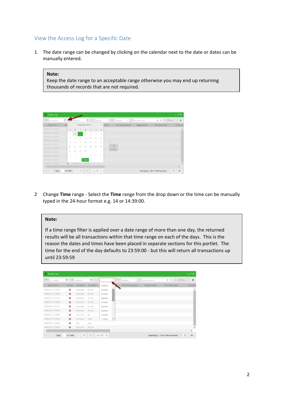## <span id="page-3-0"></span>View the Access Log for a Specific Date

1. The date range can be changed by clicking on the calendar next to the date or dates can be manually entered.

#### **Note:**

Keep the date range to an acceptable range otherwise you may end up returning thousands of records that are not required.

| From 01/11/2016     | é    |                | /06/2017       |                         | 曲                        |                |               | 00:00:00       | To<br>$\psi$ | 23:59:59   | $\mathbf{w}$         | Keyword search      | <b>OPhoto</b><br>$\alpha$<br>$\times$ | $\equiv$   |
|---------------------|------|----------------|----------------|-------------------------|--------------------------|----------------|---------------|----------------|--------------|------------|----------------------|---------------------|---------------------------------------|------------|
| Access Time         | Cloc | ×              |                | November 2016 $\sim$    |                          |                |               | ×.             | tription     |            | Terminal Description | <b>Badge Number</b> | Error Description                     | Transactio |
| 09/06/2017 12:25:49 |      | $\overline{S}$ | M              | T                       | W.                       | T              | F             | $\overline{S}$ |              |            |                      |                     |                                       | ×          |
| 09/06/2017 10:18:26 |      | $30 -$         | 31             |                         | $\overline{2}$           | $\overline{3}$ | $\mathcal{A}$ | 5              |              |            |                      |                     |                                       |            |
| 08/06/2017 16:14:56 |      | 6              | $\overline{z}$ | $\overline{\mathbf{8}}$ | $\overline{a}$           | $10^{-1}$      | 11            | 12             |              |            |                      |                     |                                       |            |
| 08/06/2017 15:35:00 |      |                |                |                         |                          |                |               |                |              |            |                      |                     |                                       |            |
| 05/06/2017 15:37:11 |      | 13             | 14             | -15                     | 16                       | 37             | 18            | $19 -$         |              | $\gamma_2$ |                      |                     |                                       |            |
| 05/06/2017:15:04:56 |      | 20             | 21             | 22                      | 23                       | 24             | 25            | 26             |              | Loading.   |                      |                     |                                       |            |
| 08/06/2017 12:08:50 |      | 27             | 28             | 29                      | 30                       | ٠              | 5             | $\overline{3}$ |              |            |                      |                     |                                       |            |
| 05/06/2017 12:08:46 |      | ×              | ÷              | 6                       | $\overline{\phantom{a}}$ | $\mathbb{R}$   | i9.           | $10 -$         |              |            |                      |                     |                                       |            |
| 05/05/2017 12:08:38 |      |                |                |                         | Today                    |                |               |                |              |            |                      |                     |                                       |            |
| 08/06/2017 12:08:29 |      |                |                | Mizushima               | Daguke                   |                |               |                |              |            |                      |                     |                                       |            |
| 4.1                 |      |                |                |                         |                          |                |               |                |              |            |                      |                     |                                       |            |

2 Change **Time** range - Select the **Time** range from the drop down or the time can be manually typed in the 24-hour format e.g. 14 or 14:39:00.

#### **Note:**

If a time range filter is applied over a date range of more than one day, the returned results will be all transactions within that time range on each of the days. This is the reason the dates and times have been placed in separate sections for this portlet. The time for the end of the day defaults to 23:59:00 - but this will return all transactions up until 23:59:59

| C Access Log        |                        |                                             |                |          |                          |                                               |   |                     |                                                                                                       |                          | - 2 x         |
|---------------------|------------------------|---------------------------------------------|----------------|----------|--------------------------|-----------------------------------------------|---|---------------------|-------------------------------------------------------------------------------------------------------|--------------------------|---------------|
| From 01/11/2016     | 曲                      | <u> Tanzania (m. 1888)</u><br>To 12/06/2017 | 曲              |          | To:                      | the control of the control of the<br>23:59:59 | ٠ | Keyword search      | the control of the control of the control of the control of<br><b>Contract Contract Contract</b><br>× | $\alpha$<br>$D$ Photo    |               |
| Access Time 1       | Clocking               | Last Name                                   | First Name     | 03:00:00 |                          | <b>Terminal Description</b>                   |   | <b>Badge Number</b> |                                                                                                       | <b>Error Description</b> | Transactio    |
| 09/06/2017 10:25:49 |                        | Butterfield                                 | Camilla        | 04:00:00 |                          |                                               |   |                     |                                                                                                       |                          |               |
| 09/06/2017 10:18:26 | $\mathbf{a}$           | Butterfield                                 | Camilla        | 05:00:00 |                          |                                               |   |                     |                                                                                                       |                          |               |
| 08/06/2017 16:14:56 | O.                     | Butterfield                                 | Camilla        | 06:00:00 |                          |                                               |   |                     |                                                                                                       |                          |               |
| 08/06/2017 15:38:00 | $\omega$               | Butterfield                                 | Camilla        | 07:00:00 |                          |                                               |   |                     |                                                                                                       |                          |               |
| 08/06/2017 15:37:11 | Ø                      | Butterfield                                 | Camilla        | 08:00:00 |                          |                                               |   |                     |                                                                                                       |                          |               |
| 08/06/2017 15:04:56 | Ø.                     | Butterfield                                 | Camilla        | 09:00:00 |                          |                                               |   |                     |                                                                                                       |                          |               |
| 08/06/2017 12:08:50 | മ                      | Yamamoto                                    | Rei            | 10:00:00 |                          |                                               |   |                     |                                                                                                       |                          |               |
| 08/06/2017 12:08:46 | െ                      | Van Achte                                   | Tiede          | 11:00:00 | $\overline{\phantom{a}}$ |                                               |   |                     |                                                                                                       |                          |               |
| 08/06/2017 12:08:38 | ŵ                      | Borr                                        | Anke           |          |                          |                                               |   |                     |                                                                                                       |                          |               |
| 08/06/2017 12:08:29 | ൈ                      | Mizushima                                   | Daisuke        |          |                          |                                               |   |                     |                                                                                                       |                          |               |
| $\left($ $\right)$  |                        |                                             |                |          |                          |                                               |   |                     |                                                                                                       |                          | r             |
| $\ll$<br>Page       | of 11095 $\Rightarrow$ | $\rightarrow$                               | $\mathbb{C}^n$ | Auto 2 - |                          |                                               |   |                     | Displaying 1 - 10 of 110944 accesses                                                                  |                          | $\Theta$<br>0 |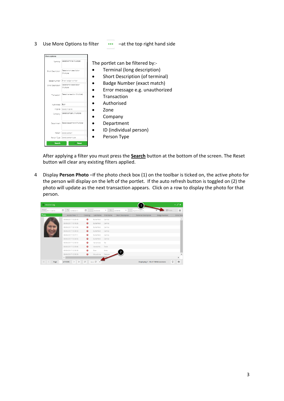3 Use More Options to filter ••• –at the top right hand side

| More options      |                                        |                                                                |
|-------------------|----------------------------------------|----------------------------------------------------------------|
| Terminal          | Select terminal (Multiple)             | The portlet can be filtered by:-                               |
| Short Description | Select short description<br>(Multiple) | Terminal (long description)<br>Short Description (of terminal) |
| Badge Number      | Enter badge number                     |                                                                |
| Error Description | Select error description<br>(Multiple) | Badge Number (exact match)                                     |
|                   |                                        | Error message e.g. unauthorized                                |
| Transaction       | Select transaction (Multiple)          | Transaction                                                    |
| Authorised        | Roth                                   | Authorised                                                     |
| In Zone           | Select in zone                         | Zone                                                           |
| Company           | Select company (Multiple)              |                                                                |
|                   |                                        | Company                                                        |
| Department        | Select department (Multiple)           | Department                                                     |
|                   |                                        | ID (individual person)                                         |
| Person            | Select person                          |                                                                |
|                   | Person Type Select person type         | Person Type                                                    |
| Q. Search         | <b>Keset</b>                           |                                                                |

After applying a filter you must press the **Search** button at the bottom of the screen. The Reset button will clear any existing filters applied.

4 Display **Person Photo** –If the photo check box (1) on the toolbar is ticked on, the active photo for the person will display on the left of the portlet. If the auto refresh button is toggled on (2) the photo will update as the next transaction appears. Click on a row to display the photo for that person.

| Access Log      |                       |               |                   |            |                   |              |                                      |                                                                                                                                                                                                                                                                                                                                                                                                                                                                                 | $\sim$ $2^{\circ}$ x |
|-----------------|-----------------------|---------------|-------------------|------------|-------------------|--------------|--------------------------------------|---------------------------------------------------------------------------------------------------------------------------------------------------------------------------------------------------------------------------------------------------------------------------------------------------------------------------------------------------------------------------------------------------------------------------------------------------------------------------------|----------------------|
| From 01/11/2016 | 鱛<br>To 12/06/2017    | 兽<br>٠        | 00:00:00          | To<br>٠    | 23.59.59          | $\mathbf{v}$ | Keyword search                       | $\overline{\phantom{a}}$ $\overline{\phantom{a}}$ $\overline{\phantom{a}}$ $\overline{\phantom{a}}$ $\overline{\phantom{a}}$ $\overline{\phantom{a}}$ $\overline{\phantom{a}}$ $\overline{\phantom{a}}$ $\overline{\phantom{a}}$ $\overline{\phantom{a}}$ $\overline{\phantom{a}}$ $\overline{\phantom{a}}$ $\overline{\phantom{a}}$ $\overline{\phantom{a}}$ $\overline{\phantom{a}}$ $\overline{\phantom{a}}$ $\overline{\phantom{a}}$ $\overline{\phantom{a}}$ $\overline{\$ | $\equiv$             |
| Photo           | Access Time           | Clocking      | Last Name         | First Name | Short Description |              | <b>Terminal Description</b>          | <b>Badge Number</b>                                                                                                                                                                                                                                                                                                                                                                                                                                                             | <b>Error Desc</b>    |
|                 | 09/06/2017 10:25:49   |               | Butterfield       | Camilla    |                   |              |                                      |                                                                                                                                                                                                                                                                                                                                                                                                                                                                                 |                      |
|                 | 09/06/2017 10:18:26   | Ø.            | Butterfield       | Camilla    |                   |              |                                      |                                                                                                                                                                                                                                                                                                                                                                                                                                                                                 |                      |
|                 | 08/06/2017 16:14:56   | αō            | Butterfield       | Camilla    |                   |              |                                      |                                                                                                                                                                                                                                                                                                                                                                                                                                                                                 |                      |
|                 | 08/06/2017 15:38:00   | GD.           | Butterfield       | Camilla    |                   |              |                                      |                                                                                                                                                                                                                                                                                                                                                                                                                                                                                 |                      |
|                 | 08/06/2017 15:37:11   | Ωû            | Butterfield       | Camilla    |                   |              |                                      |                                                                                                                                                                                                                                                                                                                                                                                                                                                                                 |                      |
|                 | 08/06/2017 15:04:56   | GB            | Butterfield       | Camilla    |                   |              |                                      |                                                                                                                                                                                                                                                                                                                                                                                                                                                                                 |                      |
|                 | 08/06/2017 12:08:50   | 60            | Vamamoto          | Rei        |                   |              |                                      |                                                                                                                                                                                                                                                                                                                                                                                                                                                                                 |                      |
|                 | 08/06/2017 12:08:46   | $\bullet$     | Van Achte Tiede   |            |                   |              |                                      |                                                                                                                                                                                                                                                                                                                                                                                                                                                                                 |                      |
|                 | 08/06/2017 12:08:38   |               | Boer              | Anke       | $\overline{2}$    |              |                                      |                                                                                                                                                                                                                                                                                                                                                                                                                                                                                 |                      |
|                 | 08/06/2017 12:08:29   | GG.           | Mizushima         | Daisuke    |                   |              |                                      |                                                                                                                                                                                                                                                                                                                                                                                                                                                                                 |                      |
|                 | $\left($              |               |                   |            |                   |              |                                      |                                                                                                                                                                                                                                                                                                                                                                                                                                                                                 | k                    |
| $\ll$<br>Page   | $>$ $\gg$<br>of 11095 | $\mathcal{Z}$ | Auto $\mathbb{C}$ |            |                   |              | Displaying 1 - 10 of 110944 accesses |                                                                                                                                                                                                                                                                                                                                                                                                                                                                                 | $\Theta$<br>Ū        |